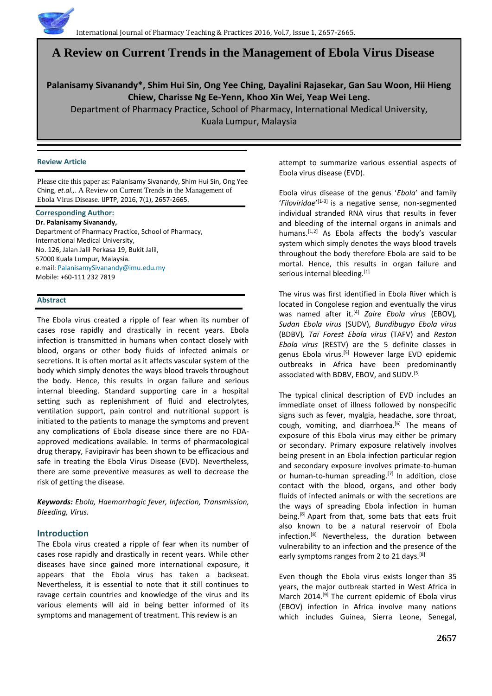# **A Review on Current Trends in the Management of Ebola Virus Disease**

**Palanisamy Sivanandy\*, Shim Hui Sin, Ong Yee Ching, Dayalini Rajasekar, Gan Sau Woon, Hii Hieng Chiew, Charisse Ng Ee-Yenn, Khoo Xin Wei, Yeap Wei Leng.**

Department of Pharmacy Practice, School of Pharmacy, International Medical University,

Kuala Lumpur, Malaysia

#### **Review Article**

Please cite this paper as: Palanisamy Sivanandy, Shim Hui Sin, Ong Yee Ching, *et.al.,*. A Review on Current Trends in the Management of Ebola Virus Disease. IJPTP, 2016, 7(1), 2657-2665.

#### **Corresponding Author:**

**Dr. Palanisamy Sivanandy,**  Department of Pharmacy Practice, School of Pharmacy, International Medical University, No. 126, Jalan Jalil Perkasa 19, Bukit Jalil, 57000 Kuala Lumpur, Malaysia. e.mail: [PalanisamySivanandy@imu.edu.my](mailto:PalanisamySivanandy@imu.edu.my) Mobile: +60-111 232 7819

# **Abstract**

The Ebola virus created a ripple of fear when its number of cases rose rapidly and drastically in recent years. Ebola infection is transmitted in humans when contact closely with blood, organs or other body fluids of infected animals or secretions. It is often mortal as it affects vascular system of the body which simply denotes the ways blood travels throughout the body. Hence, this results in organ failure and serious internal bleeding. Standard supporting care in a hospital setting such as replenishment of fluid and electrolytes, ventilation support, pain control and nutritional support is initiated to the patients to manage the symptoms and prevent any complications of Ebola disease since there are no FDAapproved medications available. In terms of pharmacological drug therapy, Favipiravir has been shown to be efficacious and safe in treating the Ebola Virus Disease (EVD). Nevertheless, there are some preventive measures as well to decrease the risk of getting the disease.

*Keywords: Ebola, Haemorrhagic fever, Infection, Transmission, Bleeding, Virus.*

# **Introduction**

The Ebola virus created a ripple of fear when its number of cases rose rapidly and drastically in recent years. While other diseases have since gained more international exposure, it appears that the Ebola virus has taken a backseat. Nevertheless, it is essential to note that it still continues to ravage certain countries and knowledge of the virus and its various elements will aid in being better informed of its symptoms and management of treatment. This review is an

attempt to summarize various essential aspects of Ebola virus disease (EVD).

Ebola virus disease of the genus '*Ebola*' and family '*Filoviridae*' [1-3] is a negative sense, non-segmented individual stranded RNA virus that results in fever and bleeding of the internal organs in animals and humans.<sup>[1,2]</sup> As Ebola affects the body's vascular system which simply denotes the ways blood travels throughout the body therefore Ebola are said to be mortal. Hence, this results in organ failure and serious internal bleeding.<sup>[1]</sup>

The virus was first identified in Ebola River which is located in Congolese region and eventually the virus was named after it.<sup>[4]</sup> *Zaire Ebola virus* (EBOV), *Sudan Ebola virus* (SUDV)*, Bundibugyo Ebola virus*  (BDBV)*, Taï Forest Ebola virus* (TAFV) and *Reston Ebola virus* (RESTV) are the 5 definite classes in genus Ebola virus.<sup>[5]</sup> However large EVD epidemic outbreaks in Africa have been predominantly associated with BDBV, EBOV, and SUDV.[5]

The typical clinical description of EVD includes an immediate onset of illness followed by nonspecific signs such as fever, myalgia, headache, sore throat, cough, vomiting, and diarrhoea. $[6]$  The means of exposure of this Ebola virus may either be primary or secondary. Primary exposure relatively involves being present in an Ebola infection particular region and secondary exposure involves primate-to-human or human-to-human spreading.<sup>[7]</sup> In addition, close contact with the blood, organs, and other body fluids of infected animals or with the secretions are the ways of spreading Ebola infection in human being.<sup>[8]</sup> Apart from that, some bats that eats fruit also known to be a natural reservoir of Ebola infection.[8] Nevertheless, the duration between vulnerability to an infection and the presence of the early symptoms ranges from 2 to 21 days.<sup>[8]</sup>

Even though the Ebola virus exists longer than 35 years, the major outbreak started in West Africa in March 2014.<sup>[9]</sup> The current epidemic of Ebola virus (EBOV) infection in Africa involve many nations which includes Guinea, Sierra Leone, Senegal,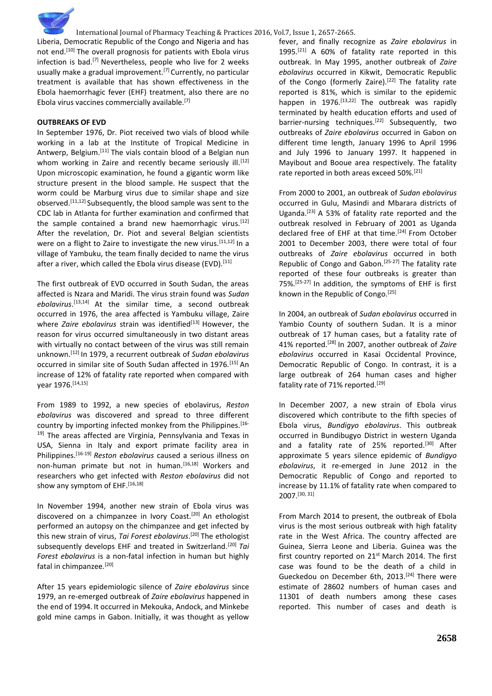Liberia, Democratic Republic of the Congo and Nigeria and has not end.<sup>[10]</sup> The overall prognosis for patients with Ebola virus infection is bad.<sup>[7]</sup> Nevertheless, people who live for 2 weeks usually make a gradual improvement.<sup>[7]</sup> Currently, no particular treatment is available that has shown effectiveness in the Ebola haemorrhagic fever (EHF) treatment, also there are no Ebola virus vaccines commercially available.[7]

#### **OUTBREAKS OF EVD**

In September 1976, Dr. Piot received two vials of blood while working in a lab at the Institute of Tropical Medicine in Antwerp, Belgium.[11] The vials contain blood of a Belgian nun whom working in Zaire and recently became seriously ill.<sup>[12]</sup> Upon microscopic examination, he found a gigantic worm like structure present in the blood sample. He suspect that the worm could be Marburg virus due to similar shape and size observed.<sup>[11,12]</sup> Subsequently, the blood sample was sent to the CDC lab in Atlanta for further examination and confirmed that the sample contained a brand new haemorrhagic virus.<sup>[12]</sup> After the revelation, Dr. Piot and several Belgian scientists were on a flight to Zaire to investigate the new virus.<sup>[11,12]</sup> In a village of Yambuku, the team finally decided to name the virus after a river, which called the Ebola virus disease (EVD).<sup>[11]</sup>

The first outbreak of EVD occurred in South Sudan, the areas affected is Nzara and Maridi. The virus strain found was *Sudan ebolavirus*. [13,14] At the similar time, a second outbreak occurred in 1976, the area affected is Yambuku village, Zaire where *Zaire ebolavirus* strain was identified<sup>[13]</sup> However, the reason for virus occurred simultaneously in two distant areas with virtually no contact between of the virus was still remain unknown.[12] In 1979, a recurrent outbreak of *Sudan ebolavirus* occurred in similar site of South Sudan affected in 1976.[15] An increase of 12% of fatality rate reported when compared with year 1976. [14,15]

From 1989 to 1992, a new species of ebolavirus, *Reston ebolavirus* was discovered and spread to three different country by importing infected monkey from the Philippines.<sup>[16-</sup> <sup>19]</sup> The areas affected are Virginia, Pennsylvania and Texas in USA, Sienna in Italy and export primate facility area in Philippines.[16-19] *Reston ebolavirus* caused a serious illness on non-human primate but not in human.<sup>[16,18]</sup> Workers and researchers who get infected with *Reston ebolavirus* did not show any symptom of EHF. [16,18]

In November 1994, another new strain of Ebola virus was discovered on a chimpanzee in Ivory Coast.<sup>[20]</sup> An ethologist performed an autopsy on the chimpanzee and get infected by this new strain of virus, *Tai Forest ebolavirus*. [20] The ethologist subsequently develops EHF and treated in Switzerland.[20] *Tai Forest ebolavirus* is a non-fatal infection in human but highly fatal in chimpanzee.[20]

After 15 years epidemiologic silence of *Zaire ebolavirus* since 1979, an re-emerged outbreak of *Zaire ebolavirus* happened in the end of 1994. It occurred in Mekouka, Andock, and Minkebe gold mine camps in Gabon. Initially, it was thought as yellow

fever, and finally recognize as *Zaire ebolavirus* in 1995. $[21]$  A 60% of fatality rate reported in this outbreak. In May 1995, another outbreak of *Zaire ebolavirus* occurred in Kikwit, Democratic Republic of the Congo (formerly Zaire).<sup>[22]</sup> The fatality rate reported is 81%, which is similar to the epidemic happen in 1976. $^{[13,22]}$  The outbreak was rapidly terminated by health education efforts and used of barrier-nursing techniques.<sup>[22]</sup> Subsequently, two outbreaks of *Zaire ebolavirus* occurred in Gabon on different time length, January 1996 to April 1996 and July 1996 to January 1997. It happened in Mayibout and Booue area respectively. The fatality rate reported in both areas exceed 50%.<sup>[21]</sup>

From 2000 to 2001, an outbreak of *Sudan ebolavirus* occurred in Gulu, Masindi and Mbarara districts of Uganda.[23] A 53% of fatality rate reported and the outbreak resolved in February of 2001 as Uganda declared free of EHF at that time.<sup>[24]</sup> From October 2001 to December 2003, there were total of four outbreaks of *Zaire ebolavirus* occurred in both Republic of Congo and Gabon.[25-27] The fatality rate reported of these four outbreaks is greater than 75%.[25-27] In addition, the symptoms of EHF is first known in the Republic of Congo.[25]

In 2004, an outbreak of *Sudan ebolavirus* occurred in Yambio County of southern Sudan. It is a minor outbreak of 17 human cases, but a fatality rate of 41% reported.[28] In 2007, another outbreak of *Zaire ebolavirus* occurred in Kasai Occidental Province, Democratic Republic of Congo. In contrast, it is a large outbreak of 264 human cases and higher fatality rate of 71% reported.<sup>[29]</sup>

In December 2007, a new strain of Ebola virus discovered which contribute to the fifth species of Ebola virus, *Bundigyo ebolavirus*. This outbreak occurred in Bundibugyo District in western Uganda and a fatality rate of 25% reported.<sup>[30]</sup> After approximate 5 years silence epidemic of *Bundigyo ebolavirus*, it re-emerged in June 2012 in the Democratic Republic of Congo and reported to increase by 11.1% of fatality rate when compared to 2007.[30, 31]

From March 2014 to present, the outbreak of Ebola virus is the most serious outbreak with high fatality rate in the West Africa. The country affected are Guinea, Sierra Leone and Liberia. Guinea was the first country reported on  $21^{st}$  March 2014. The first case was found to be the death of a child in Gueckedou on December 6th, 2013.<sup>[24]</sup> There were estimate of 28602 numbers of human cases and 11301 of death numbers among these cases reported. This number of cases and death is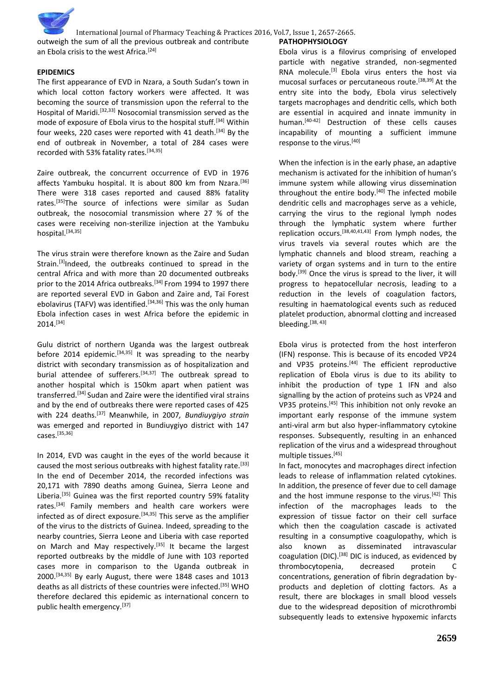International Journal of Pharmacy Teaching & Practices 2016, Vol.7, Issue 1, 2657-2665. outweigh the sum of all the previous outbreak and contribute an Ebola crisis to the west Africa.<sup>[24]</sup> **PATHOPHYSIOLOGY**

## **EPIDEMICS**

The first appearance of EVD in Nzara, a South Sudan's town in which local cotton factory workers were affected. It was becoming the source of transmission upon the referral to the Hospital of Maridi.[32,33] Nosocomial transmission served as the mode of exposure of Ebola virus to the hospital stuff.<sup>[34]</sup> Within four weeks, 220 cases were reported with 41 death.<sup>[34]</sup> By the end of outbreak in November, a total of 284 cases were recorded with 53% fatality rates.<sup>[34,35]</sup>

Zaire outbreak, the concurrent occurrence of EVD in 1976 affects Yambuku hospital. It is about 800 km from Nzara.<sup>[36]</sup> There were 318 cases reported and caused 88% fatality rates.[35]The source of infections were similar as Sudan outbreak, the nosocomial transmission where 27 % of the cases were receiving non-sterilize injection at the Yambuku hospital.[34,35]

The virus strain were therefore known as the Zaire and Sudan Strain.<sup>[3]</sup>Indeed, the outbreaks continued to spread in the central Africa and with more than 20 documented outbreaks prior to the 2014 Africa outbreaks.<sup>[34]</sup> From 1994 to 1997 there are reported several EVD in Gabon and Zaire and, Taï Forest ebolavirus (TAFV) was identified.<sup>[34,36]</sup> This was the only human Ebola infection cases in west Africa before the epidemic in 2014.[34]

Gulu district of northern Uganda was the largest outbreak before 2014 epidemic.<sup>[34,35]</sup> It was spreading to the nearby district with secondary transmission as of hospitalization and burial attendee of sufferers.<sup>[34,37]</sup> The outbreak spread to another hospital which is 150km apart when patient was transferred.[34] Sudan and Zaire were the identified viral strains and by the end of outbreaks there were reported cases of 425 with 224 deaths.[37] Meanwhile, in 2007*, Bundiuygiyo strain* was emerged and reported in Bundiuygiyo district with 147 cases.[35,36]

In 2014, EVD was caught in the eyes of the world because it caused the most serious outbreaks with highest fatality rate.<sup>[33]</sup> In the end of December 2014, the recorded infections was 20,171 with 7890 deaths among Guinea, Sierra Leone and Liberia.<sup>[35]</sup> Guinea was the first reported country 59% fatality rates.<sup>[34]</sup> Family members and health care workers were infected as of direct exposure.[34,35] This serve as the amplifier of the virus to the districts of Guinea. Indeed, spreading to the nearby countries, Sierra Leone and Liberia with case reported on March and May respectively.<sup>[35]</sup> It became the largest reported outbreaks by the middle of June with 103 reported cases more in comparison to the Uganda outbreak in 2000.[34,35] By early August, there were 1848 cases and 1013 deaths as all districts of these countries were infected.<sup>[35]</sup> WHO therefore declared this epidemic as international concern to public health emergency.<sup>[37]</sup>

Ebola virus is a filovirus comprising of enveloped particle with negative stranded, non-segmented RNA molecule.<sup>[3]</sup> Ebola virus enters the host via mucosal surfaces or percutaneous route.[38,39] At the entry site into the body, Ebola virus selectively targets macrophages and dendritic cells, which both are essential in acquired and innate immunity in human.<sup>[40-42]</sup> Destruction of these cells causes incapability of mounting a sufficient immune response to the virus.[40]

When the infection is in the early phase, an adaptive mechanism is activated for the inhibition of human's immune system while allowing virus dissemination throughout the entire body.<sup>[40]</sup> The infected mobile dendritic cells and macrophages serve as a vehicle, carrying the virus to the regional lymph nodes through the lymphatic system where further replication occurs.[38,40,41,43] From lymph nodes, the virus travels via several routes which are the lymphatic channels and blood stream, reaching a variety of organ systems and in turn to the entire body.[39] Once the virus is spread to the liver, it will progress to hepatocellular necrosis, leading to a reduction in the levels of coagulation factors, resulting in haematological events such as reduced platelet production, abnormal clotting and increased bleeding.[38, 43]

Ebola virus is protected from the host interferon (IFN) response. This is because of its encoded VP24 and VP35 proteins.<sup>[44]</sup> The efficient reproductive replication of Ebola virus is due to its ability to inhibit the production of type 1 IFN and also signalling by the action of proteins such as VP24 and VP35 proteins.[45] This inhibition not only revoke an important early response of the immune system anti-viral arm but also hyper-inflammatory cytokine responses. Subsequently, resulting in an enhanced replication of the virus and a widespread throughout multiple tissues.[45]

In fact, monocytes and macrophages direct infection leads to release of inflammation related cytokines. In addition, the presence of fever due to cell damage and the host immune response to the virus.<sup>[42]</sup> This infection of the macrophages leads to the expression of tissue factor on their cell surface which then the coagulation cascade is activated resulting in a consumptive coagulopathy, which is also known as disseminated intravascular coagulation (DIC).<sup>[38]</sup> DIC is induced, as evidenced by thrombocytopenia. decreased protein concentrations, generation of fibrin degradation byproducts and depletion of clotting factors. As a result, there are blockages in small blood vessels due to the widespread deposition of microthrombi subsequently leads to extensive hypoxemic infarcts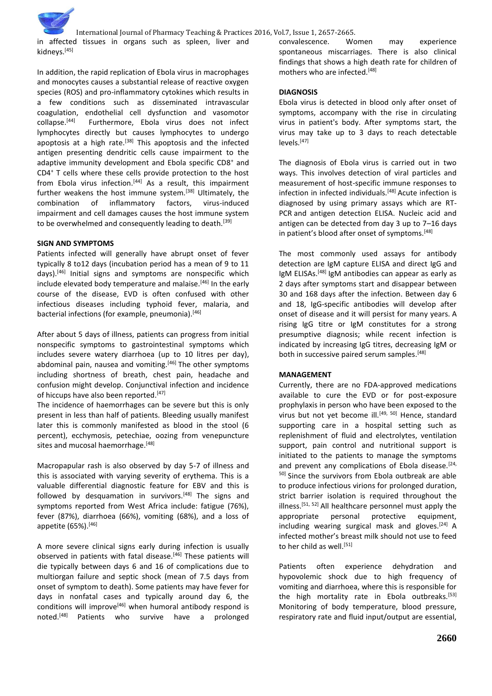in affected tissues in organs such as spleen, liver and kidneys.<sup>[45]</sup>

In addition, the rapid replication of Ebola virus in macrophages and monocytes causes a substantial release of reactive oxygen species (ROS) and pro-inflammatory cytokines which results in a few conditions such as disseminated intravascular coagulation, endothelial cell dysfunction and vasomotor collapse.[44] Furthermore, Ebola virus does not infect lymphocytes directly but causes lymphocytes to undergo apoptosis at a high rate.<sup>[38]</sup> This apoptosis and the infected antigen presenting dendritic cells cause impairment to the adaptive immunity development and Ebola specific CD8<sup>+</sup> and CD4<sup>+</sup> T cells where these cells provide protection to the host from Ebola virus infection.<sup>[44]</sup> As a result, this impairment further weakens the host immune system.<sup>[38]</sup> Ultimately, the combination of inflammatory factors, virus-induced impairment and cell damages causes the host immune system to be overwhelmed and consequently leading to death.<sup>[39]</sup>

#### **SIGN AND SYMPTOMS**

Patients infected will generally have abrupt onset of fever typically 8 to12 days (incubation period has a mean of 9 to 11 days).[46] Initial signs and symptoms are nonspecific which include elevated body temperature and malaise.<sup>[46]</sup> In the early course of the disease, EVD is often confused with other infectious diseases including typhoid fever, malaria, and bacterial infections (for example, pneumonia).<sup>[46]</sup>

After about 5 days of illness, patients can progress from initial nonspecific symptoms to gastrointestinal symptoms which includes severe watery diarrhoea (up to 10 litres per day), abdominal pain, nausea and vomiting.<sup>[46]</sup> The other symptoms including shortness of breath, chest pain, headache and confusion might develop. Conjunctival infection and incidence of hiccups have also been reported.<sup>[47]</sup>

The incidence of haemorrhages can be severe but this is only present in less than half of patients. Bleeding usually manifest later this is commonly manifested as blood in the stool (6 percent), ecchymosis, petechiae, oozing from venepuncture sites and mucosal haemorrhage.<sup>[48]</sup>

Macropapular rash is also observed by day 5-7 of illness and this is associated with varying severity of erythema. This is a valuable differential diagnostic feature for EBV and this is followed by desquamation in survivors.<sup>[48]</sup> The signs and symptoms reported from West Africa include: fatigue (76%), fever (87%), diarrhoea (66%), vomiting (68%), and a loss of appetite  $(65%)$ .  $[46]$ 

A more severe clinical signs early during infection is usually observed in patients with fatal disease.<sup>[46]</sup> These patients will die typically between days 6 and 16 of complications due to multiorgan failure and septic shock (mean of 7.5 days from onset of symptom to death). Some patients may have fever for days in nonfatal cases and typically around day 6, the conditions will improve<sup>[46]</sup> when humoral antibody respond is noted.[48] Patients who survive have a prolonged convalescence. Women may experience spontaneous miscarriages. There is also clinical findings that shows a high death rate for children of mothers who are infected.[48]

## **DIAGNOSIS**

Ebola virus is detected in blood only after onset of symptoms, accompany with the rise in circulating virus in patient's body. After symptoms start, the virus may take up to 3 days to reach detectable levels.[47]

The diagnosis of Ebola virus is carried out in two ways. This involves detection of viral particles and measurement of host-specific immune responses to infection in infected individuals.<sup>[48]</sup> Acute infection is diagnosed by using primary assays which are RT-PCR and antigen detection ELISA. Nucleic acid and antigen can be detected from day 3 up to 7–16 days in patient's blood after onset of symptoms.<sup>[48]</sup>

The most commonly used assays for antibody detection are IgM capture ELISA and direct IgG and IgM ELISAs.<sup>[48]</sup> IgM antibodies can appear as early as 2 days after symptoms start and disappear between 30 and 168 days after the infection. Between day 6 and 18, IgG-specific antibodies will develop after onset of disease and it will persist for many years. A rising IgG titre or IgM constitutes for a strong presumptive diagnosis; while recent infection is indicated by increasing IgG titres, decreasing IgM or both in successive paired serum samples.<sup>[48]</sup>

# **MANAGEMENT**

Currently, there are no FDA-approved medications available to cure the EVD or for post-exposure prophylaxis in person who have been exposed to the virus but not yet become ill.<sup>[49, 50]</sup> Hence, standard supporting care in a hospital setting such as replenishment of fluid and electrolytes, ventilation support, pain control and nutritional support is initiated to the patients to manage the symptoms and prevent any complications of Ebola disease.<sup>[24,</sup> <sup>50]</sup> Since the survivors from Ebola outbreak are able to produce infectious virions for prolonged duration, strict barrier isolation is required throughout the illness.<sup>[51, 52]</sup> All healthcare personnel must apply the appropriate personal protective equipment, including wearing surgical mask and gloves. $[24]$  A infected mother's breast milk should not use to feed to her child as well.<sup>[51]</sup>

Patients often experience dehydration and hypovolemic shock due to high frequency of vomiting and diarrhoea, where this is responsible for the high mortality rate in Ebola outbreaks.<sup>[53]</sup> Monitoring of body temperature, blood pressure, respiratory rate and fluid input/output are essential,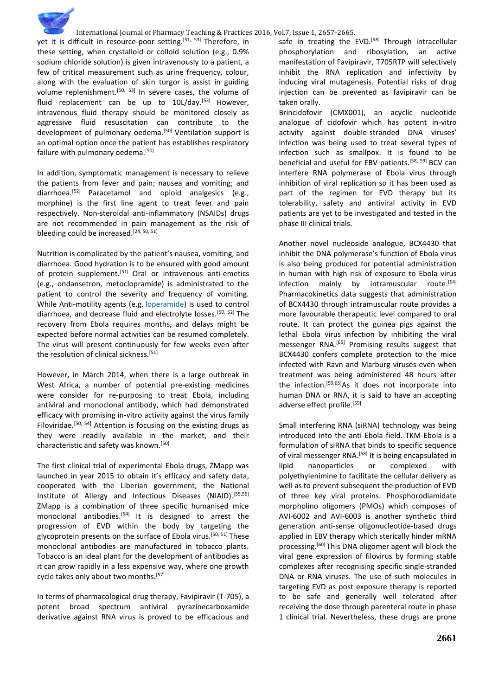yet it is difficult in resource-poor setting.<sup>[51, 53]</sup> Therefore, in these setting, when crystalloid or colloid solution (e.g., 0.9% sodium chloride solution) is given intravenously to a patient, a few of critical measurement such as urine frequency, colour, along with the evaluation of skin turgor is assist in guiding volume replenishment.<sup>[50, 53]</sup> In severe cases, the volume of fluid replacement can be up to 10L/day.<sup>[53]</sup> However, intravenous fluid therapy should be monitored closely as aggressive fluid resuscitation can contribute to the development of pulmonary oedema.<sup>[50]</sup> Ventilation support is an optimal option once the patient has establishes respiratory failure with pulmonary oedema.<sup>[50]</sup>

In addition, symptomatic management is necessary to relieve the patients from fever and pain; nausea and vomiting; and diarrhoea.[52] Paracetamol and opioid analgesics (e.g., morphine) is the first line agent to treat fever and pain respectively. Non-steroidal anti-inflammatory (NSAIDs) drugs are not recommended in pain management as the risk of bleeding could be increased.<sup>[24, 50, 51]</sup>

Nutrition is complicated by the patient's nausea, vomiting, and diarrhoea. Good hydration is to be ensured with good amount of protein supplement.<sup>[51]</sup> Oral or intravenous anti-emetics (e.g., ondansetron, metoclopramide) is administrated to the patient to control the severity and frequency of vomiting. While Anti-motility agents (e.g. [loperamide\)](http://www.uptodate.com/contents/loperamide-drug-information?source=see_link) is used to control diarrhoea, and decrease fluid and electrolyte losses.<sup>[50, 52]</sup> The recovery from Ebola requires months, and delays might be expected before normal activities can be resumed completely. The virus will present continuously for few weeks even after the resolution of clinical sickness.<sup>[51]</sup>

However, in March 2014, when there is a large outbreak in West Africa, a number of potential pre-existing medicines were consider for re-purposing to treat Ebola, including antiviral and monoclonal antibody, which had demonstrated efficacy with promising in-vitro activity against the virus family Filoviridae.<sup>[50, 54]</sup> Attention is focusing on the existing drugs as they were readily available in the market, and their characteristic and safety was known.[50]

The first clinical trial of experimental Ebola drugs, ZMapp was launched in year 2015 to obtain it's efficacy and safety data, cooperated with the Liberian government, the National Institute of Allergy and Infectious Diseases (NIAID).[55,56] ZMapp is a combination of three specific humanised mice monoclonal antibodies.<sup>[54]</sup> It is designed to arrest the progression of EVD within the body by targeting the glycoprotein presents on the surface of Ebola virus.[50, 51] These monoclonal antibodies are manufactured in tobacco plants. Tobacco is an ideal plant for the development of antibodies as it can grow rapidly in a less expensive way, where one growth cycle takes only about two months.<sup>[57]</sup>

In terms of pharmacological drug therapy, Favipiravir (T-705), a potent broad spectrum antiviral pyrazinecarboxamide derivative against RNA virus is proved to be efficacious and safe in treating the EVD.<sup>[58]</sup> Through intracellular phosphorylation and ribosylation, an active manifestation of Favipiravir, T705RTP will selectively inhibit the RNA replication and infectivity by inducing viral mutagenesis. Potential risks of drug injection can be prevented as favipiravir can be taken orally.

Brincidofovir (CMX001), an acyclic nucleotide analogue of cidofovir which has potent in-vitro activity against double-stranded DNA viruses' infection was being used to treat several types of infection such as smallpox. It is found to be beneficial and useful for EBV patients.[58, 59] BCV can interfere RNA polymerase of Ebola virus through inhibition of viral replication so it has been used as part of the regimen for EVD therapy but its tolerability, safety and antiviral activity in EVD patients are yet to be investigated and tested in the phase III clinical trials.

Another novel nucleoside analogue, BCX4430 that inhibit the DNA polymerase's function of Ebola virus is also being produced for potential administration in human with high risk of exposure to Ebola virus infection mainly by intramuscular route.<sup>[64]</sup> Pharmacokinetics data suggests that administration of BCX4430 through intramuscular route provides a more favourable therapeutic level compared to oral route. It can protect the guinea pigs against the lethal Ebola virus infection by inhibiting the viral messenger RNA.[65] Promising results suggest that BCX4430 confers complete protection to the mice infected with Ravn and Marburg viruses even when treatment was being administered 48 hours after the infection.[59,65]As it does not incorporate into human DNA or RNA, it is said to have an accepting adverse effect profile.<sup>[59]</sup>

Small interfering RNA (siRNA) technology was being introduced into the anti-Ebola field. TKM-Ebola is a formulation of siRNA that binds to specific sequence of viral messenger RNA.<sup>[58]</sup> It is being encapsulated in lipid nanoparticles or complexed with polyethylenimine to facilitate the cellular delivery as well as to prevent subsequent the production of EVD of three key viral proteins. Phosphorodiamidate morpholino oligomers (PMOs) which composes of AVI-6002 and AVI-6003 is another synthetic third generation anti-sense oligonucleotide-based drugs applied in EBV therapy which sterically hinder mRNA processing.[60] This DNA oligomer agent will block the viral gene expression of filovirus by forming stable complexes after recognising specific single-stranded DNA or RNA viruses. The use of such molecules in targeting EVD as post exposure therapy is reported to be safe and generally well tolerated after receiving the dose through parenteral route in phase 1 clinical trial. Nevertheless, these drugs are prone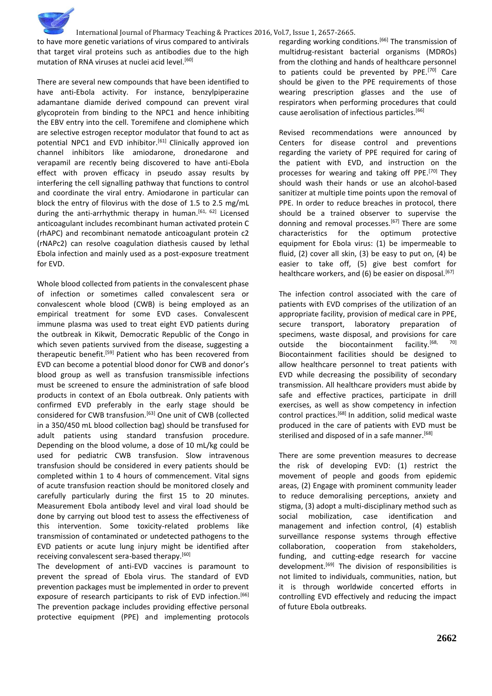

to have more genetic variations of virus compared to antivirals that target viral proteins such as antibodies due to the high mutation of RNA viruses at nuclei acid level.<sup>[60]</sup>

There are several new compounds that have been identified to have anti-Ebola activity. For instance, benzylpiperazine adamantane diamide derived compound can prevent viral glycoprotein from binding to the NPC1 and hence inhibiting the EBV entry into the cell. Toremifene and clomiphene which are selective estrogen receptor modulator that found to act as potential NPC1 and EVD inhibitor.<sup>[61]</sup> Clinically approved ion channel inhibitors like amiodarone, dronedarone and verapamil are recently being discovered to have anti-Ebola effect with proven efficacy in pseudo assay results by interfering the cell signalling pathway that functions to control and coordinate the viral entry. Amiodarone in particular can block the entry of filovirus with the dose of 1.5 to 2.5 mg/mL during the anti-arrhythmic therapy in human.<sup>[61, 62]</sup> Licensed anticoagulant includes recombinant human activated protein C (rhAPC) and recombinant nematode anticoagulant protein c2 (rNAPc2) can resolve coagulation diathesis caused by lethal Ebola infection and mainly used as a post-exposure treatment for EVD.

Whole blood collected from patients in the convalescent phase of infection or sometimes called convalescent sera or convalescent whole blood (CWB) is being employed as an empirical treatment for some EVD cases. Convalescent immune plasma was used to treat eight EVD patients during the outbreak in Kikwit, Democratic Republic of the Congo in which seven patients survived from the disease, suggesting a therapeutic benefit.[59] Patient who has been recovered from EVD can become a potential blood donor for CWB and donor's blood group as well as transfusion transmissible infections must be screened to ensure the administration of safe blood products in context of an Ebola outbreak. Only patients with confirmed EVD preferably in the early stage should be considered for CWB transfusion.<sup>[63]</sup> One unit of CWB (collected in a 350/450 mL blood collection bag) should be transfused for adult patients using standard transfusion procedure. Depending on the blood volume, a dose of 10 mL/kg could be used for pediatric CWB transfusion. Slow intravenous transfusion should be considered in every patients should be completed within 1 to 4 hours of commencement. Vital signs of acute transfusion reaction should be monitored closely and carefully particularly during the first 15 to 20 minutes. Measurement Ebola antibody level and viral load should be done by carrying out blood test to assess the effectiveness of this intervention. Some toxicity-related problems like transmission of contaminated or undetected pathogens to the EVD patients or acute lung injury might be identified after receiving convalescent sera-based therapy.<sup>[60]</sup>

The development of anti-EVD vaccines is paramount to prevent the spread of Ebola virus. The standard of EVD prevention packages must be implemented in order to prevent exposure of research participants to risk of EVD infection.<sup>[66]</sup> The prevention package includes providing effective personal protective equipment (PPE) and implementing protocols

regarding working conditions.<sup>[66]</sup> The transmission of multidrug-resistant bacterial organisms (MDROs) from the clothing and hands of healthcare personnel to patients could be prevented by PPE.<sup>[70]</sup> Care should be given to the PPE requirements of those wearing prescription glasses and the use of respirators when performing procedures that could cause aerolisation of infectious particles.[66]

Revised recommendations were announced by Centers for disease control and preventions regarding the variety of PPE required for caring of the patient with EVD, and instruction on the processes for wearing and taking off PPE.<sup>[70]</sup> They should wash their hands or use an alcohol-based sanitizer at multiple time points upon the removal of PPE. In order to reduce breaches in protocol, there should be a trained observer to supervise the donning and removal processes.<sup>[67]</sup> There are some characteristics for the optimum protective equipment for Ebola virus: (1) be impermeable to fluid, (2) cover all skin, (3) be easy to put on, (4) be easier to take off, (5) give best comfort for healthcare workers, and (6) be easier on disposal.  $[67]$ 

The infection control associated with the care of patients with EVD comprises of the utilization of an appropriate facility, provision of medical care in PPE, secure transport, laboratory preparation of specimens, waste disposal, and provisions for care outside the biocontainment facility.<sup>[68,</sup> Biocontainment facilities should be designed to allow healthcare personnel to treat patients with EVD while decreasing the possibility of secondary transmission. All healthcare providers must abide by safe and effective practices, participate in drill exercises, as well as show competency in infection control practices.[68] In addition, solid medical waste produced in the care of patients with EVD must be sterilised and disposed of in a safe manner.<sup>[68]</sup>

There are some prevention measures to decrease the risk of developing EVD: (1) restrict the movement of people and goods from epidemic areas, (2) Engage with prominent community leader to reduce demoralising perceptions, anxiety and stigma, (3) adopt a multi-disciplinary method such as social mobilization, case identification and management and infection control, (4) establish surveillance response systems through effective collaboration, cooperation from stakeholders, funding, and cutting-edge research for vaccine development.[69] The division of responsibilities is not limited to individuals, communities, nation, but it is through worldwide concerted efforts in controlling EVD effectively and reducing the impact of future Ebola outbreaks.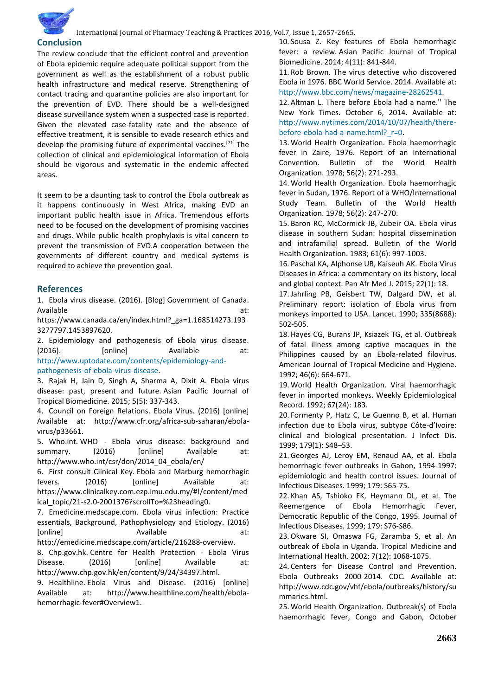## **Conclusion**

The review conclude that the efficient control and prevention of Ebola epidemic require adequate political support from the government as well as the establishment of a robust public health infrastructure and medical reserve. Strengthening of contact tracing and quarantine policies are also important for the prevention of EVD. There should be a well-designed disease surveillance system when a suspected case is reported. Given the elevated case-fatality rate and the absence of effective treatment, it is sensible to evade research ethics and develop the promising future of experimental vaccines.<sup>[71]</sup> The collection of clinical and epidemiological information of Ebola should be vigorous and systematic in the endemic affected areas.

It seem to be a daunting task to control the Ebola outbreak as it happens continuously in West Africa, making EVD an important public health issue in Africa. Tremendous efforts need to be focused on the development of promising vaccines and drugs. While public health prophylaxis is vital concern to prevent the transmission of EVD.A cooperation between the governments of different country and medical systems is required to achieve the prevention goal.

#### **References**

1. Ebola virus disease. (2016). [Blog] Government of Canada. Available

https://www.canada.ca/en/index.html?\_ga=1.168514273.193 3277797.1453897620.

2. Epidemiology and pathogenesis of Ebola virus disease. (2016). [online] Available at: [http://www.uptodate.com/contents/epidemiology-and](http://www.uptodate.com/contents/epidemiology-and-pathogenesis-of-ebola-virus-disease)[pathogenesis-of-ebola-virus-disease.](http://www.uptodate.com/contents/epidemiology-and-pathogenesis-of-ebola-virus-disease)

3. Rajak H, Jain D, Singh A, Sharma A, Dixit A. Ebola virus disease: past, present and future. Asian Pacific Journal of Tropical Biomedicine. 2015; 5(5): 337-343.

4. Council on Foreign Relations. Ebola Virus. (2016) [online] Available at: http://www.cfr.org/africa-sub-saharan/ebolavirus/p33661.

5. Who.int. WHO - Ebola virus disease: background and summary. (2016) [online] Available at: http://www.who.int/csr/don/2014\_04\_ebola/en/

6. First consult Clinical Key. Ebola and Marburg hemorrhagic fevers. (2016) [online] Available at: https://www.clinicalkey.com.ezp.imu.edu.my/#!/content/med ical\_topic/21-s2.0-2001376?scrollTo=%23heading0.

7. Emedicine.medscape.com. Ebola virus infection: Practice essentials, Background, Pathophysiology and Etiology. (2016) [online] at: Available at: http://emedicine.medscape.com/article/216288-overview.

8. Chp.gov.hk. Centre for Health Protection - Ebola Virus Disease. (2016) [online] Available at: http://www.chp.gov.hk/en/content/9/24/34397.html.

9. Healthline. Ebola Virus and Disease. (2016) [online] Available at: http://www.healthline.com/health/ebolahemorrhagic-fever#Overview1.

10. Sousa Z. Key features of Ebola hemorrhagic fever: a review. Asian Pacific Journal of Tropical Biomedicine. 2014; 4(11): 841-844.

11. Rob Brown. The virus detective who discovered Ebola in 1976. BBC World Service. 2014. Available at: [http://www.bbc.com/news/magazine-28262541.](http://www.bbc.com/news/magazine-28262541)

12. Altman L. There before Ebola had a name." The New York Times. October 6, 2014. Available at: [http://www.nytimes.com/2014/10/07/health/there](http://www.nytimes.com/2014/10/07/health/there-before-ebola-had-a-name.html?_r=0)[before-ebola-had-a-name.html?\\_r=0.](http://www.nytimes.com/2014/10/07/health/there-before-ebola-had-a-name.html?_r=0)

13. World Health Organization. Ebola haemorrhagic fever in Zaire, 1976. Report of an International Convention. Bulletin of the World Health Organization. 1978; 56(2): 271-293.

14. World Health Organization. Ebola haemorrhagic fever in Sudan, 1976. Report of a WHO/International Study Team. Bulletin of the World Health Organization. 1978; 56(2): 247-270.

15. Baron RC, McCormick JB, Zubeir OA. Ebola virus disease in southern Sudan: hospital dissemination and intrafamilial spread. Bulletin of the World Health Organization. 1983; 61(6): 997-1003.

16. Paschal KA, Alphonse UB, Kaiseuh AK. Ebola Virus Diseases in Africa: a commentary on its history, local and global context. Pan Afr Med J. 2015; 22(1): 18.

17.Jahrling PB, Geisbert TW, Dalgard DW, et al. Preliminary report: isolation of Ebola virus from monkeys imported to USA. Lancet. 1990; 335(8688): 502-505.

18. Hayes CG, Burans JP, Ksiazek TG, et al. Outbreak of fatal illness among captive macaques in the Philippines caused by an Ebola-related filovirus. American Journal of Tropical Medicine and Hygiene. 1992; 46(6): 664-671.

19. World Health Organization. Viral haemorrhagic fever in imported monkeys. Weekly Epidemiological Record. 1992; 67(24): 183.

20. Formenty P, Hatz C, Le Guenno B, et al. Human infection due to Ebola virus, subtype Côte-d'Ivoire: clinical and biological presentation. J Infect Dis. 1999; 179(1): S48–53.

21.Georges AJ, Leroy EM, Renaud AA, et al. Ebola hemorrhagic fever outbreaks in Gabon, 1994-1997: epidemiologic and health control issues. Journal of Infectious Diseases. 1999; 179: S65-75.

22. Khan AS, Tshioko FK, Heymann DL, et al. The Reemergence of Ebola Hemorrhagic Fever, Democratic Republic of the Congo, 1995. Journal of Infectious Diseases. 1999; 179: S76-S86.

23.Okware SI, Omaswa FG, Zaramba S, et al. An outbreak of Ebola in Uganda. Tropical Medicine and International Health. 2002; 7(12): 1068-1075.

24. Centers for Disease Control and Prevention. Ebola Outbreaks 2000-2014. CDC. Available at: http://www.cdc.gov/vhf/ebola/outbreaks/history/su mmaries.html.

25. World Health Organization. Outbreak(s) of Ebola haemorrhagic fever, Congo and Gabon, October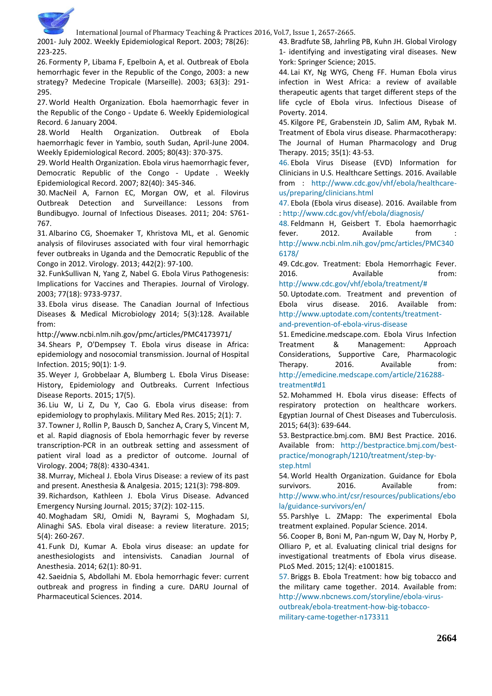

2001- July 2002. Weekly Epidemiological Report. 2003; 78(26): 223-225.

26. Formenty P, Libama F, Epelboin A, et al. Outbreak of Ebola hemorrhagic fever in the Republic of the Congo, 2003: a new strategy? Medecine Tropicale (Marseille). 2003; 63(3): 291- 295.

27. World Health Organization. Ebola haemorrhagic fever in the Republic of the Congo - Update 6. Weekly Epidemiological Record. 6 January 2004.

28. World Health Organization. Outbreak of Ebola haemorrhagic fever in Yambio, south Sudan, April-June 2004. Weekly Epidemiological Record. 2005; 80(43): 370-375.

29. World Health Organization. Ebola virus haemorrhagic fever, Democratic Republic of the Congo - Update . Weekly Epidemiological Record. 2007; 82(40): 345-346.

30. MacNeil A, Farnon EC, Morgan OW, et al. Filovirus Outbreak Detection and Surveillance: Lessons from Bundibugyo. Journal of Infectious Diseases. 2011; 204: S761- 767.

31. Albarino CG, Shoemaker T, Khristova ML, et al. Genomic analysis of filoviruses associated with four viral hemorrhagic fever outbreaks in Uganda and the Democratic Republic of the Congo in 2012. Virology. 2013; 442(2): 97-100.

32. FunkSullivan N, Yang Z, Nabel G. Ebola Virus Pathogenesis: Implications for Vaccines and Therapies. Journal of Virology. 2003; 77(18): 9733-9737.

33. Ebola virus disease. The Canadian Journal of Infectious Diseases & Medical Microbiology 2014; 5(3):128. Available from:

http://www.ncbi.nlm.nih.gov/pmc/articles/PMC4173971/

34. Shears P, O'Dempsey T. Ebola virus disease in Africa: epidemiology and nosocomial transmission. Journal of Hospital Infection. 2015; 90(1): 1-9.

35. Weyer J, Grobbelaar A, Blumberg L. Ebola Virus Disease: History, Epidemiology and Outbreaks. Current Infectious Disease Reports. 2015; 17(5).

36. Liu W, Li Z, Du Y, Cao G. Ebola virus disease: from epidemiology to prophylaxis. Military Med Res. 2015; 2(1): 7.

37. Towner J, Rollin P, Bausch D, Sanchez A, Crary S, Vincent M, et al. Rapid diagnosis of Ebola hemorrhagic fever by reverse transcription-PCR in an outbreak setting and assessment of patient viral load as a predictor of outcome. Journal of Virology. 2004; 78(8): 4330-4341.

38. Murray, Micheal J. Ebola Virus Disease: a review of its past and present. Anesthesia & Analgesia. 2015; 121(3): 798-809.

39. Richardson, Kathleen J. Ebola Virus Disease. Advanced Emergency Nursing Journal. 2015; 37(2): 102-115.

40. Moghadam SRJ, Omidi N, Bayrami S, Moghadam SJ, Alinaghi SAS. Ebola viral disease: a review literature. 2015; 5(4): 260-267.

41. Funk DJ, Kumar A. Ebola virus disease: an update for anesthesiologists and intensivists. Canadian Journal of Anesthesia. 2014; 62(1): 80-91.

42. Saeidnia S, Abdollahi M. Ebola hemorrhagic fever: current outbreak and progress in finding a cure. DARU Journal of Pharmaceutical Sciences. 2014.

43. Bradfute SB, Jahrling PB, Kuhn JH. Global Virology 1- identifying and investigating viral diseases. New York: Springer Science; 2015.

44. Lai KY, Ng WYG, Cheng FF. Human Ebola virus infection in West Africa: a review of available therapeutic agents that target different steps of the life cycle of Ebola virus. Infectious Disease of Poverty. 2014.

45. Kilgore PE, Grabenstein JD, Salim AM, Rybak M. Treatment of Ebola virus disease. Pharmacotherapy: The Journal of Human Pharmacology and Drug Therapy. 2015; 35(1): 43-53.

46. Ebola Virus Disease (EVD) Information for Clinicians in U.S. Healthcare Settings. 2016. Available from : [http://www.cdc.gov/vhf/ebola/healthcare](http://www.cdc.gov/vhf/ebola/healthcare-us/preparing/clinicians.html)[us/preparing/clinicians.html](http://www.cdc.gov/vhf/ebola/healthcare-us/preparing/clinicians.html)

47. Ebola (Ebola virus disease). 2016. Available from [: http://www.cdc.gov/vhf/ebola/diagnosis/](http://www.cdc.gov/vhf/ebola/diagnosis/)

48. Feldmann H, Geisbert T. Ebola haemorrhagic fever. 2012. Available from [http://www.ncbi.nlm.nih.gov/pmc/articles/PMC340](http://www.ncbi.nlm.nih.gov/pmc/articles/PMC3406178/) [6178/](http://www.ncbi.nlm.nih.gov/pmc/articles/PMC3406178/)

49. Cdc.gov. Treatment: Ebola Hemorrhagic Fever. 2016. Available from:

[http://www.cdc.gov/vhf/ebola/treatment/#](http://www.cdc.gov/vhf/ebola/treatment/) 50.Uptodate.com. Treatment and prevention of Ebola virus disease. 2016. Available from: [http://www.uptodate.com/contents/treatment-](http://www.uptodate.com/contents/treatment-and-prevention-of-ebola-virus-disease)

[and-prevention-of-ebola-virus-disease](http://www.uptodate.com/contents/treatment-and-prevention-of-ebola-virus-disease)

51. Emedicine.medscape.com. Ebola Virus Infection Treatment & Management: Approach Considerations, Supportive Care, Pharmacologic Therapy. 2016. Available from: [http://emedicine.medscape.com/article/216288](http://emedicine.medscape.com/article/216288-treatment#d1) [treatment#d1](http://emedicine.medscape.com/article/216288-treatment#d1)

52. Mohammed H. Ebola virus disease: Effects of respiratory protection on healthcare workers. Egyptian Journal of Chest Diseases and Tuberculosis. 2015; 64(3): 639-644.

53. Bestpractice.bmj.com. BMJ Best Practice. 2016. Available from: [http://bestpractice.bmj.com/best](http://bestpractice.bmj.com/best-practice/monograph/1210/treatment/step-by-step.html)[practice/monograph/1210/treatment/step-by](http://bestpractice.bmj.com/best-practice/monograph/1210/treatment/step-by-step.html)[step.html](http://bestpractice.bmj.com/best-practice/monograph/1210/treatment/step-by-step.html)

54. World Health Organization. Guidance for Ebola survivors. 2016. Available from: [http://www.who.int/csr/resources/publications/ebo](http://www.who.int/csr/resources/publications/ebola/guidance-survivors/en/) [la/guidance-survivors/en/](http://www.who.int/csr/resources/publications/ebola/guidance-survivors/en/)

55. Parshlye L. ZMapp: The experimental Ebola treatment explained. Popular Science. 2014.

56. Cooper B, Boni M, Pan-ngum W, Day N, Horby P, Olliaro P, et al. Evaluating clinical trial designs for investigational treatments of Ebola virus disease. PLoS Med. 2015; 12(4): e1001815.

57. Briggs B. Ebola Treatment: how big tobacco and the military came together. 2014. Available from: [http://www.nbcnews.com/storyline/ebola-virus](http://www.nbcnews.com/storyline/ebola-virus-outbreak/ebola-treatment-how-big-tobacco-military-came-together-n173311)[outbreak/ebola-treatment-how-big-tobacco](http://www.nbcnews.com/storyline/ebola-virus-outbreak/ebola-treatment-how-big-tobacco-military-came-together-n173311)[military-came-together-n173311](http://www.nbcnews.com/storyline/ebola-virus-outbreak/ebola-treatment-how-big-tobacco-military-came-together-n173311)